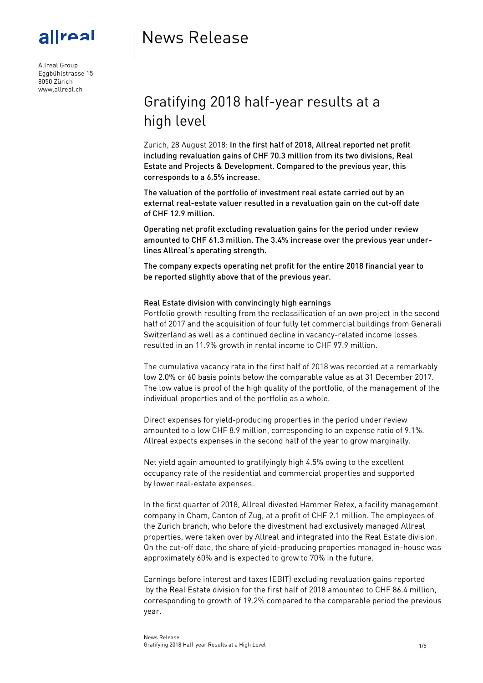

## News Release

Allreal Group Eggbühlstrasse 15 8050 Zürich www.allreal.ch

# Gratifying 2018 half-year results at a high level

Zurich, 28 August 2018: In the first half of 2018, Allreal reported net profit including revaluation gains of CHF 70.3 million from its two divisions, Real Estate and Projects & Development. Compared to the previous year, this corresponds to a 6.5% increase.

The valuation of the portfolio of investment real estate carried out by an external real-estate valuer resulted in a revaluation gain on the cut-off date of CHF 12.9 million.

Operating net profit excluding revaluation gains for the period under review amounted to CHF 61.3 million. The 3.4% increase over the previous year underlines Allreal's operating strength.

The company expects operating net profit for the entire 2018 financial year to be reported slightly above that of the previous year.

#### Real Estate division with convincingly high earnings

Portfolio growth resulting from the reclassification of an own project in the second half of 2017 and the acquisition of four fully let commercial buildings from Generali Switzerland as well as a continued decline in vacancy-related income losses resulted in an 11.9% growth in rental income to CHF 97.9 million.

The cumulative vacancy rate in the first half of 2018 was recorded at a remarkably low 2.0% or 60 basis points below the comparable value as at 31 December 2017. The low value is proof of the high quality of the portfolio, of the management of the individual properties and of the portfolio as a whole.

Direct expenses for yield-producing properties in the period under review amounted to a low CHF 8.9 million, corresponding to an expense ratio of 9.1%. Allreal expects expenses in the second half of the year to grow marginally.

Net yield again amounted to gratifyingly high 4.5% owing to the excellent occupancy rate of the residential and commercial properties and supported by lower real-estate expenses.

In the first quarter of 2018, Allreal divested Hammer Retex, a facility management company in Cham, Canton of Zug, at a profit of CHF 2.1 million. The employees of the Zurich branch, who before the divestment had exclusively managed Allreal properties, were taken over by Allreal and integrated into the Real Estate division. On the cut-off date, the share of yield-producing properties managed in-house was approximately 60% and is expected to grow to 70% in the future.

Earnings before interest and taxes (EBIT) excluding revaluation gains reported by the Real Estate division for the first half of 2018 amounted to CHF 86.4 million, corresponding to growth of 19.2% compared to the comparable period the previous year.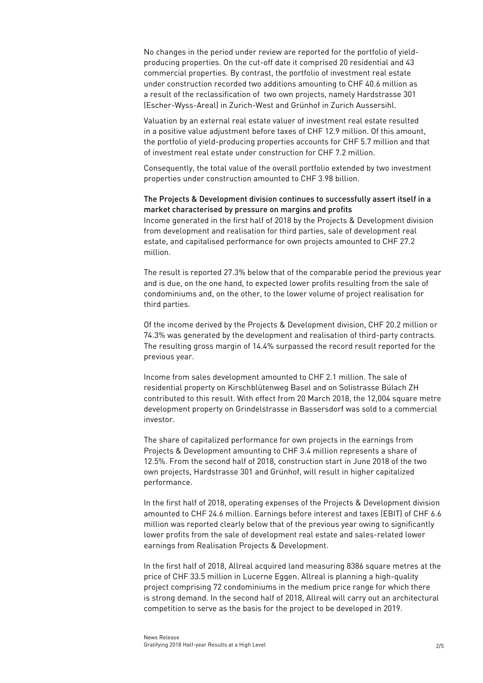No changes in the period under review are reported for the portfolio of yield producing properties. On the cut-off date it comprised 20 residential and 43 commercial properties. By contrast, the portfolio of investment real estate under construction recorded two additions amounting to CHF 40.6 million as a result of the reclassification of two own projects, namely Hardstrasse 301 (Escher-Wyss-Areal) in Zurich-West and Grünhof in Zurich Aussersihl.

Valuation by an external real estate valuer of investment real estate resulted in a positive value adjustment before taxes of CHF 12.9 million. Of this amount, the portfolio of yield-producing properties accounts for CHF 5.7 million and that of investment real estate under construction for CHF 7.2 million.

Consequently, the total value of the overall portfolio extended by two investment properties under construction amounted to CHF 3.98 billion.

### The Projects & Development division continues to successfully assert itself in a market characterised by pressure on margins and profits

Income generated in the first half of 2018 by the Projects & Development division from development and realisation for third parties, sale of development real estate, and capitalised performance for own projects amounted to CHF 27.2 million.

The result is reported 27.3% below that of the comparable period the previous year and is due, on the one hand, to expected lower profits resulting from the sale of condominiums and, on the other, to the lower volume of project realisation for third parties.

Of the income derived by the Projects & Development division, CHF 20.2 million or 74.3% was generated by the development and realisation of third-party contracts. The resulting gross margin of 14.4% surpassed the record result reported for the previous year.

Income from sales development amounted to CHF 2.1 million. The sale of residential property on Kirschblütenweg Basel and on Solistrasse Bülach ZH contributed to this result. With effect from 20 March 2018, the 12,004 square metre development property on Grindelstrasse in Bassersdorf was sold to a commercial investor.

The share of capitalized performance for own projects in the earnings from Projects & Development amounting to CHF 3.4 million represents a share of 12.5%. From the second half of 2018, construction start in June 2018 of the two own projects, Hardstrasse 301 and Grünhof, will result in higher capitalized performance.

In the first half of 2018, operating expenses of the Projects & Development division amounted to CHF 24.6 million. Earnings before interest and taxes (EBIT) of CHF 6.6 million was reported clearly below that of the previous year owing to significantly lower profits from the sale of development real estate and sales-related lower earnings from Realisation Projects & Development.

In the first half of 2018, Allreal acquired land measuring 8386 square metres at the price of CHF 33.5 million in Lucerne Eggen. Allreal is planning a high-quality project comprising 72 condominiums in the medium price range for which there is strong demand. In the second half of 2018, Allreal will carry out an architectural competition to serve as the basis for the project to be developed in 2019.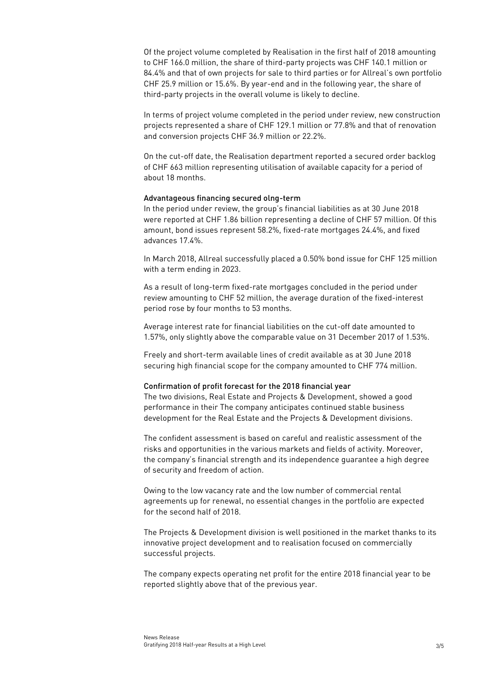Of the project volume completed by Realisation in the first half of 2018 amounting to CHF 166.0 million, the share of third-party projects was CHF 140.1 million or 84.4% and that of own projects for sale to third parties or for Allreal's own portfolio CHF 25.9 million or 15.6%. By year-end and in the following year, the share of third-party projects in the overall volume is likely to decline.

In terms of project volume completed in the period under review, new construction projects represented a share of CHF 129.1 million or 77.8% and that of renovation and conversion projects CHF 36.9 million or 22.2%.

On the cut-off date, the Realisation department reported a secured order backlog of CHF 663 million representing utilisation of available capacity for a period of about 18 months.

#### Advantageous financing secured olng-term

In the period under review, the group's financial liabilities as at 30 June 2018 were reported at CHF 1.86 billion representing a decline of CHF 57 million. Of this amount, bond issues represent 58.2%, fixed-rate mortgages 24.4%, and fixed advances 17.4%.

In March 2018, Allreal successfully placed a 0.50% bond issue for CHF 125 million with a term ending in 2023.

As a result of long-term fixed-rate mortgages concluded in the period under review amounting to CHF 52 million, the average duration of the fixed-interest period rose by four months to 53 months.

Average interest rate for financial liabilities on the cut-off date amounted to 1.57%, only slightly above the comparable value on 31 December 2017 of 1.53%.

Freely and short-term available lines of credit available as at 30 June 2018 securing high financial scope for the company amounted to CHF 774 million.

#### Confirmation of profit forecast for the 2018 financial year

The two divisions, Real Estate and Projects & Development, showed a good performance in their The company anticipates continued stable business development for the Real Estate and the Projects & Development divisions.

The confident assessment is based on careful and realistic assessment of the risks and opportunities in the various markets and fields of activity. Moreover, the company's financial strength and its independence guarantee a high degree of security and freedom of action.

Owing to the low vacancy rate and the low number of commercial rental agreements up for renewal, no essential changes in the portfolio are expected for the second half of 2018.

The Projects & Development division is well positioned in the market thanks to its innovative project development and to realisation focused on commercially successful projects.

The company expects operating net profit for the entire 2018 financial year to be reported slightly above that of the previous year.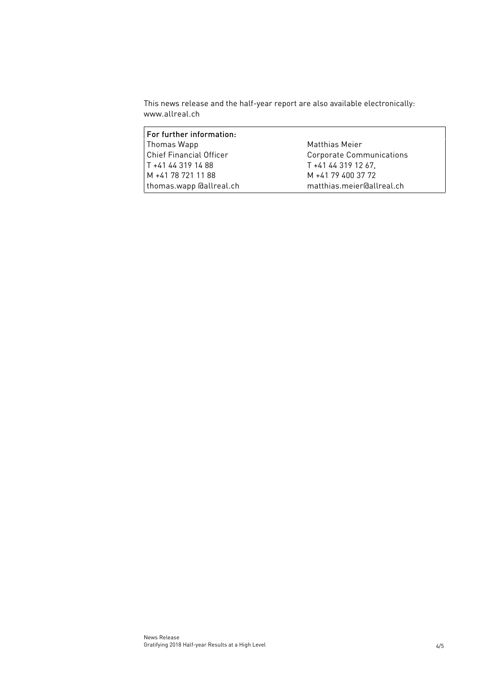This news release and the half-year report are also available electronically: www.allreal.ch

| For further information:       |                                 |
|--------------------------------|---------------------------------|
| Thomas Wapp                    | Matthias Meier                  |
| <b>Chief Financial Officer</b> | <b>Corporate Communications</b> |
| T +41 44 319 14 88             | T +41 44 319 12 67.             |
| M +41 78 721 11 88             | M +41 79 400 37 72              |
| thomas.wapp @allreal.ch        | matthias.meier@allreal.ch       |